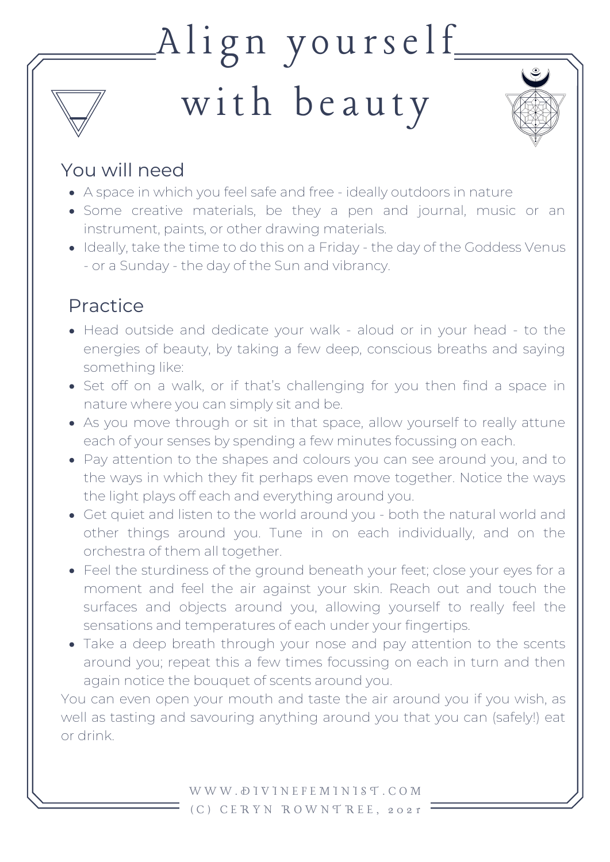# $\text{Alig}$ n yourself

## with beauty



#### You will need

- A space in which you feel safe and free ideally outdoors in nature
- Some creative materials, be they a pen and journal, music or an instrument, paints, or other drawing materials.
- Ideally, take the time to do this on a Friday the day of the Goddess Venus - or a Sunday - the day of the Sun and vibrancy.

### Practice

- Head outside and dedicate your walk aloud or in your head to the energies of beauty, by taking a few deep, conscious breaths and saying something like:
- Set off on a walk, or if that's challenging for you then find a space in nature where you can simply sit and be.
- As you move through or sit in that space, allow yourself to really attune each of your senses by spending a few minutes focussing on each.
- Pay attention to the shapes and colours you can see around you, and to the ways in which they fit perhaps even move together. Notice the ways the light plays off each and everything around you.
- Get quiet and listen to the world around you both the natural world and other things around you. Tune in on each individually, and on the orchestra of them all together.
- Feel the sturdiness of the ground beneath your feet; close your eyes for a moment and feel the air against your skin. Reach out and touch the surfaces and objects around you, allowing yourself to really feel the sensations and temperatures of each under your fingertips.
- Take a deep breath through your nose and pay attention to the scents around you; repeat this a few times focussing on each in turn and then again notice the bouquet of scents around you.

You can even open your mouth and taste the air around you if you wish, as well as tasting and savouring anything around you that you can (safely!) eat or drink.